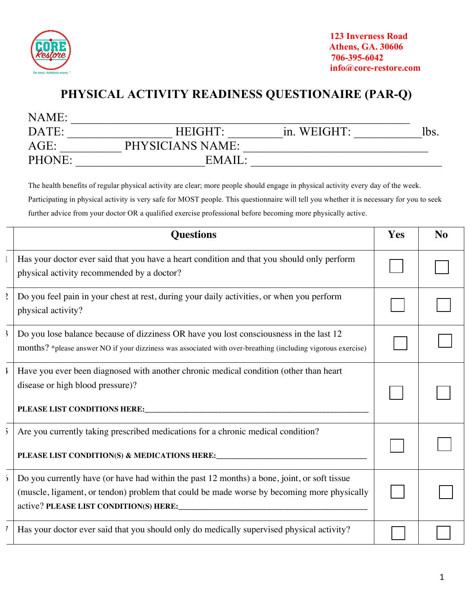

## **PHYSICAL ACTIVITY READINESS QUESTIONAIRE (PAR-Q)**

| NAME:   |                  |             |      |
|---------|------------------|-------------|------|
| DATE:   | HEIGHT:          | in. WEIGHT: | lbs. |
| $AGE$ : | PHYSICIANS NAME: |             |      |
| PHONE:  | EMAIL:           |             |      |

The health benefits of regular physical activity are clear; more people should engage in physical activity every day of the week. Participating in physical activity is very safe for MOST people. This questionnaire will tell you whether it is necessary for you to seek further advice from your doctor OR a qualified exercise professional before becoming more physically active.

|                | <b>Questions</b>                                                                                                                                                                                       | Yes | N <sub>o</sub> |
|----------------|--------------------------------------------------------------------------------------------------------------------------------------------------------------------------------------------------------|-----|----------------|
|                | Has your doctor ever said that you have a heart condition and that you should only perform<br>physical activity recommended by a doctor?                                                               |     |                |
| $\overline{z}$ | Do you feel pain in your chest at rest, during your daily activities, or when you perform<br>physical activity?                                                                                        |     |                |
| $\mathcal{E}$  | Do you lose balance because of dizziness OR have you lost consciousness in the last 12<br>months? *please answer NO if your dizziness was associated with over-breathing (including vigorous exercise) |     |                |
| Ł              | Have you ever been diagnosed with another chronic medical condition (other than heart<br>disease or high blood pressure)?                                                                              |     |                |
| $\overline{2}$ | Are you currently taking prescribed medications for a chronic medical condition?<br>PLEASE LIST CONDITION(S) & MEDICATIONS HERE:                                                                       |     |                |
| $\mathbf{5}$   | Do you currently have (or have had within the past 12 months) a bone, joint, or soft tissue<br>(muscle, ligament, or tendon) problem that could be made worse by becoming more physically              |     |                |
|                | Has your doctor ever said that you should only do medically supervised physical activity?                                                                                                              |     |                |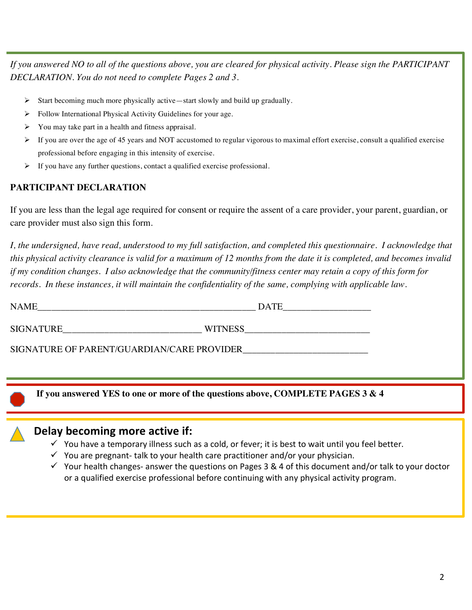*If you answered NO to all of the questions above, you are cleared for physical activity. Please sign the PARTICIPANT DECLARATION. You do not need to complete Pages 2 and 3.* 

- Ø Start becoming much more physically active—start slowly and build up gradually.
- Ø Follow International Physical Activity Guidelines for your age.
- $\triangleright$  You may take part in a health and fitness appraisal.
- $\triangleright$  If you are over the age of 45 years and NOT accustomed to regular vigorous to maximal effort exercise, consult a qualified exercise professional before engaging in this intensity of exercise.
- If you have any further questions, contact a qualified exercise professional.

#### **PARTICIPANT DECLARATION**

If you are less than the legal age required for consent or require the assent of a care provider, your parent, guardian, or care provider must also sign this form.

*I, the undersigned, have read, understood to my full satisfaction, and completed this questionnaire. I acknowledge that this physical activity clearance is valid for a maximum of 12 months from the date it is completed, and becomes invalid if my condition changes. I also acknowledge that the community/fitness center may retain a copy of this form for records. In these instances, it will maintain the confidentiality of the same, complying with applicable law.* 

| $\sim$ $\sim$<br>N |  |
|--------------------|--|
|                    |  |

SIGNATURE WITNESS WITNESS

SIGNATURE OF PARENT/GUARDIAN/CARE PROVIDER\_\_\_\_\_\_\_\_\_\_\_\_\_\_\_\_\_\_\_\_\_\_\_\_\_\_\_

**If you answered YES to one or more of the questions above, COMPLETE PAGES 3 & 4**

### Delay becoming more active if:

- $\checkmark$  You have a temporary illness such as a cold, or fever; it is best to wait until you feel better.
- $\checkmark$  You are pregnant- talk to your health care practitioner and/or your physician.
- $\checkmark$  Your health changes- answer the questions on Pages 3 & 4 of this document and/or talk to your doctor or a qualified exercise professional before continuing with any physical activity program.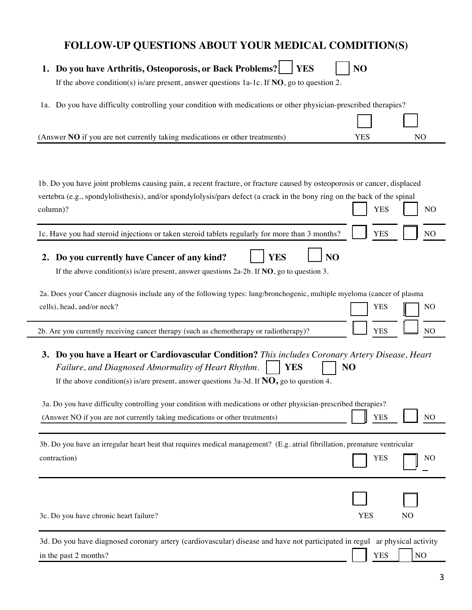## **FOLLOW-UP QUESTIONS ABOUT YOUR MEDICAL COMDITION(S)**

| 1. Do you have Arthritis, Osteoporosis, or Back Problems?<br><b>YES</b><br>If the above condition(s) is/are present, answer questions $1a$ -1c. If <b>NO</b> , go to question 2. | NO         |                |
|----------------------------------------------------------------------------------------------------------------------------------------------------------------------------------|------------|----------------|
|                                                                                                                                                                                  |            |                |
| 1a. Do you have difficulty controlling your condition with medications or other physician-prescribed therapies?                                                                  |            |                |
|                                                                                                                                                                                  |            |                |
| (Answer NO if you are not currently taking medications or other treatments)                                                                                                      | <b>YES</b> | NO             |
|                                                                                                                                                                                  |            |                |
|                                                                                                                                                                                  |            |                |
|                                                                                                                                                                                  |            |                |
| 1b. Do you have joint problems causing pain, a recent fracture, or fracture caused by osteoporosis or cancer, displaced                                                          |            |                |
| vertebra (e.g., spondylolisthesis), and/or spondylolysis/pars defect (a crack in the bony ring on the back of the spinal                                                         |            |                |
| column)?                                                                                                                                                                         | <b>YES</b> | NO             |
|                                                                                                                                                                                  |            |                |
| 1c. Have you had steroid injections or taken steroid tablets regularly for more than 3 months?                                                                                   | <b>YES</b> | N <sub>O</sub> |
| <b>YES</b><br>N <sub>O</sub><br>Do you currently have Cancer of any kind?<br>2.                                                                                                  |            |                |
| If the above condition(s) is/are present, answer questions $2a-2b$ . If <b>NO</b> , go to question 3.                                                                            |            |                |
|                                                                                                                                                                                  |            |                |
| 2a. Does your Cancer diagnosis include any of the following types: lung/bronchogenic, multiple myeloma (cancer of plasma                                                         |            |                |
| cells), head, and/or neck?                                                                                                                                                       | <b>YES</b> | N <sub>O</sub> |
|                                                                                                                                                                                  |            |                |
| 2b. Are you currently receiving cancer therapy (such as chemotherapy or radiotherapy)?                                                                                           | <b>YES</b> | N <sub>O</sub> |
|                                                                                                                                                                                  |            |                |
| 3. Do you have a Heart or Cardiovascular Condition? This includes Coronary Artery Disease, Heart                                                                                 |            |                |
| Failure, and Diagnosed Abnormality of Heart Rhythm.<br><b>YES</b>                                                                                                                | NO         |                |
| If the above condition(s) is/are present, answer questions 3a-3d. If $NO$ , go to question 4.                                                                                    |            |                |
|                                                                                                                                                                                  |            |                |
| 3a. Do you have difficulty controlling your condition with medications or other physician-prescribed therapies?                                                                  |            |                |
| (Answer NO if you are not currently taking medications or other treatments)                                                                                                      | <b>YES</b> | NO             |
|                                                                                                                                                                                  |            |                |
| 3b. Do you have an irregular heart beat that requires medical management? (E.g. atrial fibrillation, premature ventricular                                                       |            |                |
| contraction)                                                                                                                                                                     | <b>YES</b> | NO             |
|                                                                                                                                                                                  |            |                |
|                                                                                                                                                                                  |            |                |
|                                                                                                                                                                                  |            |                |
| 3c. Do you have chronic heart failure?                                                                                                                                           | <b>YES</b> | NO             |
|                                                                                                                                                                                  |            |                |
| 3d. Do you have diagnosed coronary artery (cardiovascular) disease and have not participated in regul ar physical activity                                                       |            |                |

in the past 2 months?  $YES \tNO$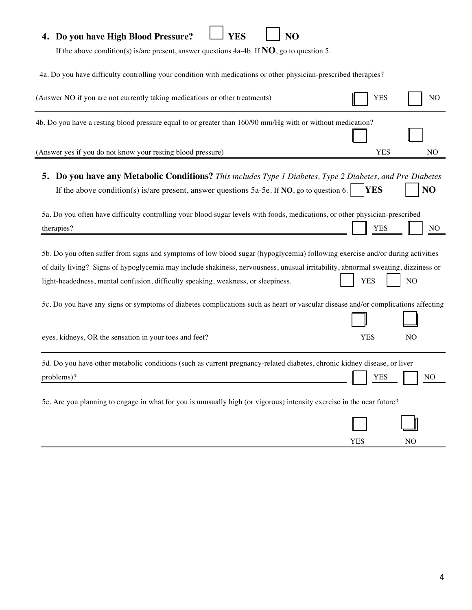## **4.** Do you have High Blood Pressure?  $\Box$  YES  $\Box$  NO

If the above condition(s) is/are present, answer questions 4a-4b. If **NO**, go to question 5.

4a. Do you have difficulty controlling your condition with medications or other physician-prescribed therapies?

| (Answer NO if you are not currently taking medications or other treatments)                                                               | <b>YES</b> | N <sub>O</sub> |
|-------------------------------------------------------------------------------------------------------------------------------------------|------------|----------------|
| 4b. Do you have a resting blood pressure equal to or greater than 160/90 mm/Hg with or without medication?                                |            |                |
| (Answer yes if you do not know your resting blood pressure)                                                                               | <b>YES</b> | N <sub>O</sub> |
| <b>5. Do you have any Metabolic Conditions?</b> This includes Type 1 Diabetes, Type 2 Diabetes, and Pre-Diabetes                          |            |                |
| If the above condition(s) is/are present, answer questions $5a-5e$ . If NO, go to question 6.                                             | <b>YES</b> | NO             |
| 5a. Do you often have difficulty controlling your blood sugar levels with foods, medications, or other physician-prescribed<br>therapies? | <b>YES</b> | NO.            |
| 5b. Do you often suffer from signs and symptoms of low blood sugar (hypoglycemia) following exercise and/or during activities             |            |                |
| of daily living? Signs of hypoglycemia may include shakiness, nervousness, unusual irritability, abnormal sweating, dizziness or          |            |                |
| light-headedness, mental confusion, difficulty speaking, weakness, or sleepiness.                                                         | <b>YES</b> | NO             |
| 5c. Do you have any signs or symptoms of diabetes complications such as heart or vascular disease and/or complications affecting          |            |                |
| eyes, kidneys, OR the sensation in your toes and feet?                                                                                    | <b>YES</b> | N <sub>O</sub> |
| 5d. Do you have other metabolic conditions (such as current pregnancy-related diabetes, chronic kidney disease, or liver                  |            |                |
| problems)?                                                                                                                                | <b>YES</b> | NO             |
| 5e. Are you planning to engage in what for you is unusually high (or vigorous) intensity exercise in the near future?                     |            |                |
|                                                                                                                                           |            |                |

YES NO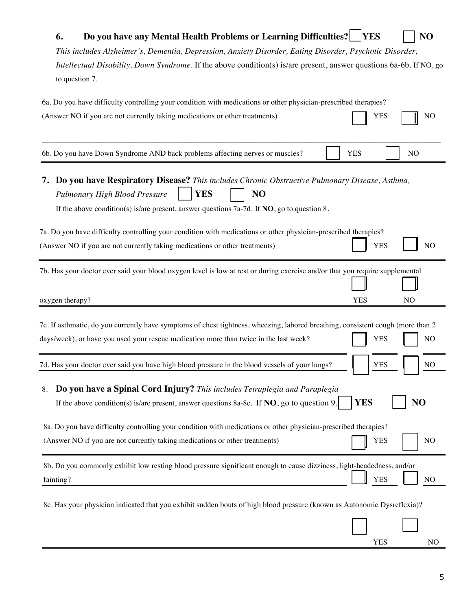| Do you have any Mental Health Problems or Learning Difficulties?   YES<br>6.<br>This includes Alzheimer's, Dementia, Depression, Anxiety Disorder, Eating Disorder, Psychotic Disorder,<br><i>Intellectual Disability, Down Syndrome.</i> If the above condition(s) is/are present, answer questions 6a-6b. If NO, go                                                                                                                                    |            | NO             |
|----------------------------------------------------------------------------------------------------------------------------------------------------------------------------------------------------------------------------------------------------------------------------------------------------------------------------------------------------------------------------------------------------------------------------------------------------------|------------|----------------|
| to question 7.                                                                                                                                                                                                                                                                                                                                                                                                                                           |            |                |
| 6a. Do you have difficulty controlling your condition with medications or other physician-prescribed therapies?<br>(Answer NO if you are not currently taking medications or other treatments)                                                                                                                                                                                                                                                           | YES        | NO             |
| 6b. Do you have Down Syndrome AND back problems affecting nerves or muscles?                                                                                                                                                                                                                                                                                                                                                                             | <b>YES</b> | N <sub>O</sub> |
| 7. Do you have Respiratory Disease? This includes Chronic Obstructive Pulmonary Disease, Asthma,<br><b>YES</b><br>NO<br>Pulmonary High Blood Pressure<br>If the above condition(s) is/are present, answer questions 7a-7d. If $NO$ , go to question 8.<br>7a. Do you have difficulty controlling your condition with medications or other physician-prescribed therapies?<br>(Answer NO if you are not currently taking medications or other treatments) | <b>YES</b> | N <sub>O</sub> |
| 7b. Has your doctor ever said your blood oxygen level is low at rest or during exercise and/or that you require supplemental<br>oxygen therapy?                                                                                                                                                                                                                                                                                                          | <b>YES</b> | N <sub>O</sub> |
| 7c. If asthmatic, do you currently have symptoms of chest tightness, wheezing, labored breathing, consistent cough (more than 2<br>days/week), or have you used your rescue medication more than twice in the last week?                                                                                                                                                                                                                                 | <b>YES</b> | N <sub>O</sub> |
| 7d. Has your doctor ever said you have high blood pressure in the blood vessels of your lungs?                                                                                                                                                                                                                                                                                                                                                           | <b>YES</b> | NO             |
| Do you have a Spinal Cord Injury? This includes Tetraplegia and Paraplegia<br>8.<br>If the above condition(s) is/are present, answer questions 8a-8c. If $NO$ , go to question 9.                                                                                                                                                                                                                                                                        | <b>YES</b> | NO             |
| 8a. Do you have difficulty controlling your condition with medications or other physician-prescribed therapies?<br>(Answer NO if you are not currently taking medications or other treatments)                                                                                                                                                                                                                                                           | <b>YES</b> | N <sub>O</sub> |
| 8b. Do you commonly exhibit low resting blood pressure significant enough to cause dizziness, light-headedness, and/or<br>fainting?                                                                                                                                                                                                                                                                                                                      | <b>YES</b> | N <sub>O</sub> |
| 8c. Has your physician indicated that you exhibit sudden bouts of high blood pressure (known as Autonomic Dysreflexia)?                                                                                                                                                                                                                                                                                                                                  |            |                |
|                                                                                                                                                                                                                                                                                                                                                                                                                                                          | <b>YES</b> | N <sub>O</sub> |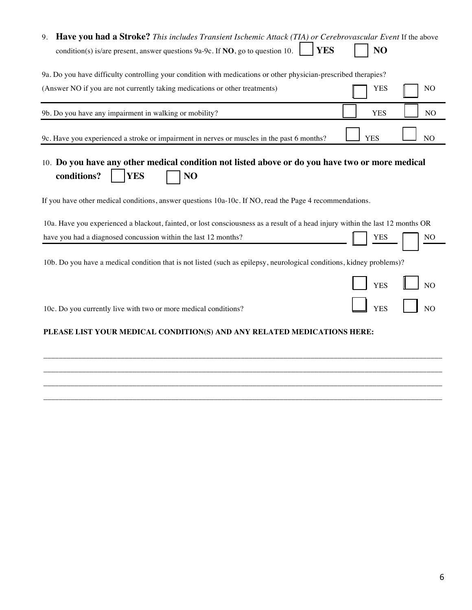| <b>Have you had a Stroke?</b> This includes Transient Ischemic Attack (TIA) or Cerebrovascular Event If the above<br>9.                                                                                                                       |            |                |
|-----------------------------------------------------------------------------------------------------------------------------------------------------------------------------------------------------------------------------------------------|------------|----------------|
| <b>YES</b><br>condition(s) is/are present, answer questions $9a-9c$ . If <b>NO</b> , go to question 10.                                                                                                                                       | NO         |                |
| 9a. Do you have difficulty controlling your condition with medications or other physician-prescribed therapies?                                                                                                                               |            |                |
| (Answer NO if you are not currently taking medications or other treatments)                                                                                                                                                                   | YES        | N <sub>O</sub> |
| 9b. Do you have any impairment in walking or mobility?                                                                                                                                                                                        | <b>YES</b> | NO             |
| 9c. Have you experienced a stroke or impairment in nerves or muscles in the past 6 months?                                                                                                                                                    | <b>YES</b> | N <sub>O</sub> |
| 10. Do you have any other medical condition not listed above or do you have two or more medical<br>conditions?<br><b>YES</b><br>NO<br>If you have other medical conditions, answer questions 10a-10c. If NO, read the Page 4 recommendations. |            |                |
| 10a. Have you experienced a blackout, fainted, or lost consciousness as a result of a head injury within the last 12 months OR                                                                                                                |            |                |
| have you had a diagnosed concussion within the last 12 months?                                                                                                                                                                                | YES        | NO             |
| 10b. Do you have a medical condition that is not listed (such as epilepsy, neurological conditions, kidney problems)?                                                                                                                         |            |                |
|                                                                                                                                                                                                                                               | <b>YES</b> | N()            |
| 10c. Do you currently live with two or more medical conditions?                                                                                                                                                                               | <b>YES</b> | N <sub>O</sub> |
| PLEASE LIST YOUR MEDICAL CONDITION(S) AND ANY RELATED MEDICATIONS HERE:                                                                                                                                                                       |            |                |

\_\_\_\_\_\_\_\_\_\_\_\_\_\_\_\_\_\_\_\_\_\_\_\_\_\_\_\_\_\_\_\_\_\_\_\_\_\_\_\_\_\_\_\_\_\_\_\_\_\_\_\_\_\_\_\_\_\_\_\_\_\_\_\_\_\_\_\_\_\_\_\_\_\_\_\_\_\_\_\_\_\_\_\_\_\_\_\_\_\_\_\_\_\_\_\_\_\_\_\_\_\_\_ \_\_\_\_\_\_\_\_\_\_\_\_\_\_\_\_\_\_\_\_\_\_\_\_\_\_\_\_\_\_\_\_\_\_\_\_\_\_\_\_\_\_\_\_\_\_\_\_\_\_\_\_\_\_\_\_\_\_\_\_\_\_\_\_\_\_\_\_\_\_\_\_\_\_\_\_\_\_\_\_\_\_\_\_\_\_\_\_\_\_\_\_\_\_\_\_\_\_\_\_\_\_\_

\_\_\_\_\_\_\_\_\_\_\_\_\_\_\_\_\_\_\_\_\_\_\_\_\_\_\_\_\_\_\_\_\_\_\_\_\_\_\_\_\_\_\_\_\_\_\_\_\_\_\_\_\_\_\_\_\_\_\_\_\_\_\_\_\_\_\_\_\_\_\_\_\_\_\_\_\_\_\_\_\_\_\_\_\_\_\_\_\_\_\_\_\_\_\_\_\_\_\_\_\_\_\_

\_\_\_\_\_\_\_\_\_\_\_\_\_\_\_\_\_\_\_\_\_\_\_\_\_\_\_\_\_\_\_\_\_\_\_\_\_\_\_\_\_\_\_\_\_\_\_\_\_\_\_\_\_\_\_\_\_\_\_\_\_\_\_\_\_\_\_\_\_\_\_\_\_\_\_\_\_\_\_\_\_\_\_\_\_\_\_\_\_\_\_\_\_\_\_\_\_\_\_\_\_\_\_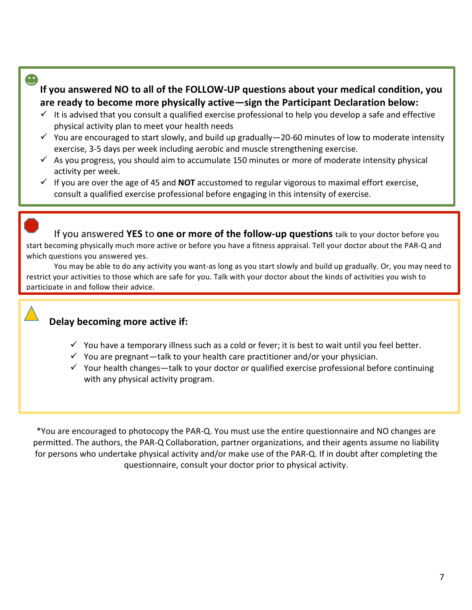#### $\bullet$

If you answered NO to all of the FOLLOW-UP questions about your medical condition, you are ready to become more physically active—sign the Participant Declaration below:

- $\checkmark$  It is advised that you consult a qualified exercise professional to help you develop a safe and effective physical activity plan to meet your health needs
- $\checkmark$  You are encouraged to start slowly, and build up gradually—20-60 minutes of low to moderate intensity exercise, 3-5 days per week including aerobic and muscle strengthening exercise.
- $\checkmark$  As you progress, you should aim to accumulate 150 minutes or more of moderate intensity physical activity per week.
- $\checkmark$  If you are over the age of 45 and **NOT** accustomed to regular vigorous to maximal effort exercise, consult a qualified exercise professional before engaging in this intensity of exercise.

If you answered **YES** to **one or more of the follow-up questions** talk to your doctor before you start becoming physically much more active or before you have a fitness appraisal. Tell your doctor about the PAR-Q and which questions you answered yes.

You may be able to do any activity you want-as long as you start slowly and build up gradually. Or, you may need to restrict your activities to those which are safe for you. Talk with your doctor about the kinds of activities you wish to participate in and follow their advice.

#### **Delay becoming more active if:**

- $\checkmark$  You have a temporary illness such as a cold or fever; it is best to wait until you feel better.
- $\checkmark$  You are pregnant—talk to your health care practitioner and/or your physician.
- $\checkmark$  Your health changes—talk to your doctor or qualified exercise professional before continuing with any physical activity program.

\*You are encouraged to photocopy the PAR-Q. You must use the entire questionnaire and NO changes are permitted. The authors, the PAR-Q Collaboration, partner organizations, and their agents assume no liability for persons who undertake physical activity and/or make use of the PAR-Q. If in doubt after completing the questionnaire, consult your doctor prior to physical activity.